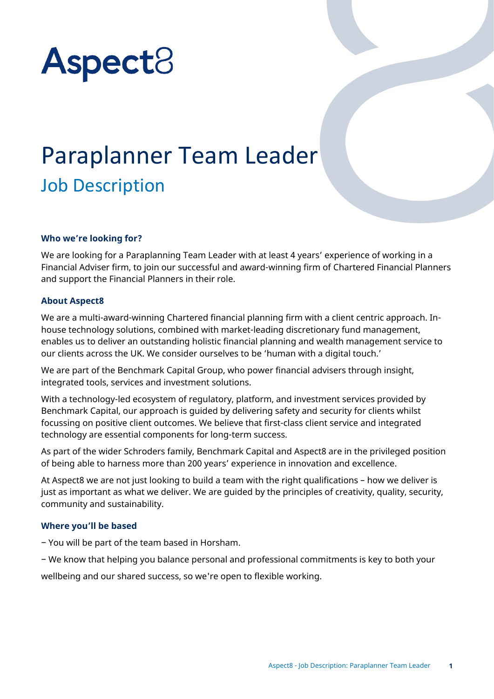# Aspect<sub>8</sub>

# Paraplanner Team Leader Job Description

# **Who we're looking for?**

We are looking for a Paraplanning Team Leader with at least 4 years' experience of working in a Financial Adviser firm, to join our successful and award-winning firm of Chartered Financial Planners and support the Financial Planners in their role.

#### **About Aspect8**

We are a multi-award-winning Chartered financial planning firm with a client centric approach. Inhouse technology solutions, combined with market-leading discretionary fund management, enables us to deliver an outstanding holistic financial planning and wealth management service to our clients across the UK. We consider ourselves to be 'human with a digital touch.'

We are part of the Benchmark Capital Group, who power financial advisers through insight, integrated tools, services and investment solutions.

With a technology-led ecosystem of regulatory, platform, and investment services provided by Benchmark Capital, our approach is guided by delivering safety and security for clients whilst focussing on positive client outcomes. We believe that first-class client service and integrated technology are essential components for long-term success.

As part of the wider Schroders family, Benchmark Capital and Aspect8 are in the privileged position of being able to harness more than 200 years' experience in innovation and excellence.

At Aspect8 we are not just looking to build a team with the right qualifications – how we deliver is just as important as what we deliver. We are guided by the principles of creativity, quality, security, community and sustainability.

#### **Where you'll be based**

− You will be part of the team based in Horsham.

− We know that helping you balance personal and professional commitments is key to both your

wellbeing and our shared success, so we're open to flexible working.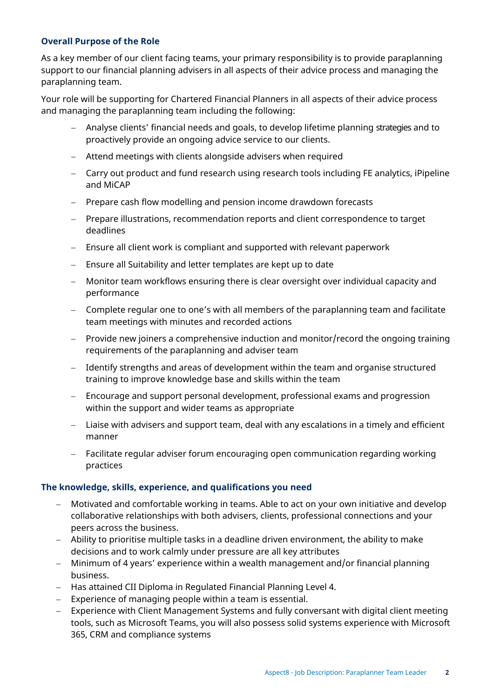# **Overall Purpose of the Role**

As a key member of our client facing teams, your primary responsibility is to provide paraplanning support to our financial planning advisers in all aspects of their advice process and managing the paraplanning team.

Your role will be supporting for Chartered Financial Planners in all aspects of their advice process and managing the paraplanning team including the following:

- − Analyse clients' financial needs and goals, to develop lifetime planning strategies and to proactively provide an ongoing advice service to our clients.
- − Attend meetings with clients alongside advisers when required
- − Carry out product and fund research using research tools including FE analytics, iPipeline and MiCAP
- − Prepare cash flow modelling and pension income drawdown forecasts
- − Prepare illustrations, recommendation reports and client correspondence to target deadlines
- − Ensure all client work is compliant and supported with relevant paperwork
- − Ensure all Suitability and letter templates are kept up to date
- − Monitor team workflows ensuring there is clear oversight over individual capacity and performance
- − Complete regular one to one's with all members of the paraplanning team and facilitate team meetings with minutes and recorded actions
- − Provide new joiners a comprehensive induction and monitor/record the ongoing training requirements of the paraplanning and adviser team
- − Identify strengths and areas of development within the team and organise structured training to improve knowledge base and skills within the team
- − Encourage and support personal development, professional exams and progression within the support and wider teams as appropriate
- − Liaise with advisers and support team, deal with any escalations in a timely and efficient manner
- − Facilitate regular adviser forum encouraging open communication regarding working practices

#### **The knowledge, skills, experience, and qualifications you need**

- − Motivated and comfortable working in teams. Able to act on your own initiative and develop collaborative relationships with both advisers, clients, professional connections and your peers across the business.
- − Ability to prioritise multiple tasks in a deadline driven environment, the ability to make decisions and to work calmly under pressure are all key attributes
- − Minimum of 4 years' experience within a wealth management and/or financial planning business.
- − Has attained CII Diploma in Regulated Financial Planning Level 4.
- − Experience of managing people within a team is essential.
- − Experience with Client Management Systems and fully conversant with digital client meeting tools, such as Microsoft Teams, you will also possess solid systems experience with Microsoft 365, CRM and compliance systems